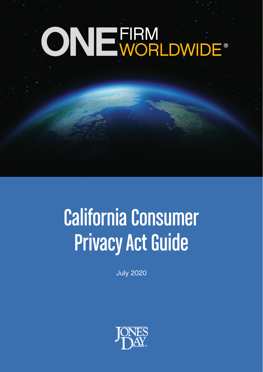# ONE FIRM<br>ONE WORLDWIDE®

# California Consumer Privacy Act Guide

July 2020

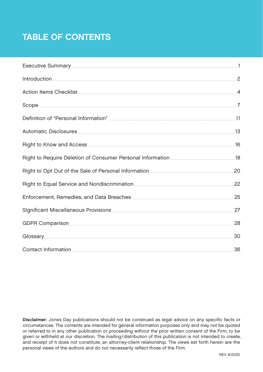# TABLE OF CONTENTS

Disclaimer: Jones Day publications should not be construed as legal advice on any specific facts or circumstances. The contents are intended for general information purposes only and may not be quoted or referred to in any other publication or proceeding without the prior written consent of the Firm, to be given or withheld at our discretion. The mailing/distribution of this publication is not intended to create, and receipt of it does not constitute, an attorney-client relationship. The views set forth herein are the personal views of the authors and do not necessarily reflect those of the Firm.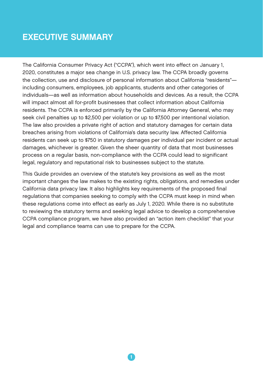# <span id="page-2-0"></span>EXECUTIVE SUMMARY

The California Consumer Privacy Act ("CCPA"), which went into effect on January 1, 2020, constitutes a major sea change in U.S. privacy law. The CCPA broadly governs the collection, use and disclosure of personal information about California "residents" including consumers, employees, job applicants, students and other categories of individuals—as well as information about households and devices. As a result, the CCPA will impact almost all for-profit businesses that collect information about California residents. The CCPA is enforced primarily by the California Attorney General, who may seek civil penalties up to \$2,500 per violation or up to \$7,500 per intentional violation. The law also provides a private right of action and statutory damages for certain data breaches arising from violations of California's data security law. Affected California residents can seek up to \$750 in statutory damages per individual per incident or actual damages, whichever is greater. Given the sheer quantity of data that most businesses process on a regular basis, non-compliance with the CCPA could lead to significant legal, regulatory and reputational risk to businesses subject to the statute.

This Guide provides an overview of the statute's key provisions as well as the most important changes the law makes to the existing rights, obligations, and remedies under California data privacy law. It also highlights key requirements of the proposed final regulations that companies seeking to comply with the CCPA must keep in mind when these regulations come into effect as early as July 1, 2020. While there is no substitute to reviewing the statutory terms and seeking legal advice to develop a comprehensive CCPA compliance program, we have also provided an "action item checklist" that your legal and compliance teams can use to prepare for the CCPA.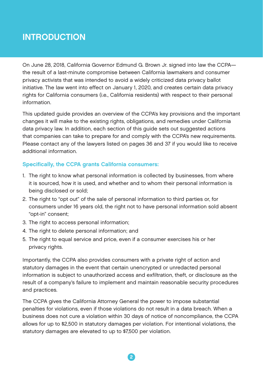# <span id="page-3-0"></span>**INTRODUCTION**

On June 28, 2018, California Governor Edmund G. Brown Jr. signed into law the CCPA the result of a last-minute compromise between California lawmakers and consumer privacy activists that was intended to avoid a widely criticized data privacy ballot initiative. The law went into effect on January 1, 2020, and creates certain data privacy rights for California consumers (i.e., California residents) with respect to their personal information.

This updated guide provides an overview of the CCPA's key provisions and the important changes it will make to the existing rights, obligations, and remedies under California data privacy law. In addition, each section of this guide sets out suggested actions that companies can take to prepare for and comply with the CCPA's new requirements. Please contact any of the lawyers listed on pages 36 and 37 if you would like to receive additional information.

# Specifically, the CCPA grants California consumers:

- 1. The right to know what personal information is collected by businesses, from where it is sourced, how it is used, and whether and to whom their personal information is being disclosed or sold;
- 2. The right to "opt out" of the sale of personal information to third parties or, for consumers under 16 years old, the right not to have personal information sold absent "opt-in" consent;
- 3. The right to access personal information;
- 4. The right to delete personal information; and
- 5. The right to equal service and price, even if a consumer exercises his or her privacy rights.

Importantly, the CCPA also provides consumers with a private right of action and statutory damages in the event that certain unencrypted or unredacted personal information is subject to unauthorized access and exfiltration, theft, or disclosure as the result of a company's failure to implement and maintain reasonable security procedures and practices.

The CCPA gives the California Attorney General the power to impose substantial penalties for violations, even if those violations do not result in a data breach. When a business does not cure a violation within 30 days of notice of noncompliance, the CCPA allows for up to \$2,500 in statutory damages per violation. For intentional violations, the statutory damages are elevated to up to \$7,500 per violation.

2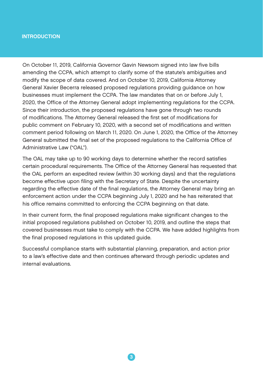#### INTRODUCTION

On October 11, 2019, California Governor Gavin Newsom signed into law five bills amending the CCPA, which attempt to clarify some of the statute's ambiguities and modify the scope of data covered. And on October 10, 2019, California Attorney General Xavier Becerra released proposed regulations providing guidance on how businesses must implement the CCPA. The law mandates that on or before July 1, 2020, the Office of the Attorney General adopt implementing regulations for the CCPA. Since their introduction, the proposed regulations have gone through two rounds of modifications. The Attorney General released the first set of modifications for public comment on February 10, 2020, with a second set of modifications and written comment period following on March 11, 2020. On June 1, 2020, the Office of the Attorney General submitted the final set of the proposed regulations to the California Office of Administrative Law ("OAL").

The OAL may take up to 90 working days to determine whether the record satisfies certain procedural requirements. The Office of the Attorney General has requested that the OAL perform an expedited review (within 30 working days) and that the regulations become effective upon filing with the Secretary of State. Despite the uncertainty regarding the effective date of the final regulations, the Attorney General may bring an enforcement action under the CCPA beginning July 1, 2020 and he has reiterated that his office remains committed to enforcing the CCPA beginning on that date.

In their current form, the final proposed regulations make significant changes to the initial proposed regulations published on October 10, 2019, and outline the steps that covered businesses must take to comply with the CCPA. We have added highlights from the final proposed regulations in this updated guide.

Successful compliance starts with substantial planning, preparation, and action prior to a law's effective date and then continues afterward through periodic updates and internal evaluations.

 $\overline{\textbf{3}}$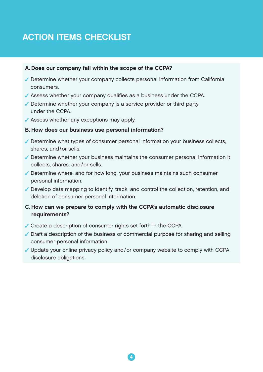# <span id="page-5-0"></span>ACTION ITEMS CHECKLIST

#### A. Does our company fall within the scope of the CCPA?

- Determine whether your company collects personal information from California consumers.
- Assess whether your company qualifies as a business under the CCPA.
- Determine whether your company is a service provider or third party under the CCPA.
- Assess whether any exceptions may apply.

#### B. How does our business use personal information?

- $\checkmark$  Determine what types of consumer personal information your business collects, shares, and/or sells.
- Determine whether your business maintains the consumer personal information it collects, shares, and/or sells.
- $\checkmark$  Determine where, and for how long, your business maintains such consumer personal information.
- $\checkmark$  Develop data mapping to identify, track, and control the collection, retention, and deletion of consumer personal information.
- C. How can we prepare to comply with the CCPA's automatic disclosure requirements?
- Create a description of consumer rights set forth in the CCPA.
- $\checkmark$  Draft a description of the business or commercial purpose for sharing and selling consumer personal information.
- $\checkmark$  Update your online privacy policy and/or company website to comply with CCPA disclosure obligations.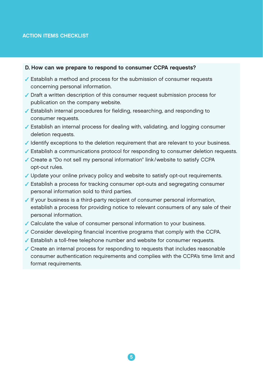#### ACTION ITEMS CHECKLIST

#### D. How can we prepare to respond to consumer CCPA requests?

- $\checkmark$  Establish a method and process for the submission of consumer requests concerning personal information.
- Draft a written description of this consumer request submission process for publication on the company website.
- Establish internal procedures for fielding, researching, and responding to consumer requests.
- Establish an internal process for dealing with, validating, and logging consumer deletion requests.
- $\checkmark$  Identify exceptions to the deletion requirement that are relevant to your business.
- Establish a communications protocol for responding to consumer deletion requests.
- Create a "Do not sell my personal information" link/website to satisfy CCPA opt-out rules.
- Update your online privacy policy and website to satisfy opt-out requirements.
- Establish a process for tracking consumer opt-outs and segregating consumer personal information sold to third parties.
- $\checkmark$  If your business is a third-party recipient of consumer personal information, establish a process for providing notice to relevant consumers of any sale of their personal information.
- Calculate the value of consumer personal information to your business.
- Consider developing financial incentive programs that comply with the CCPA.
- Establish a toll-free telephone number and website for consumer requests.
- Create an internal process for responding to requests that includes reasonable consumer authentication requirements and complies with the CCPA's time limit and format requirements.

5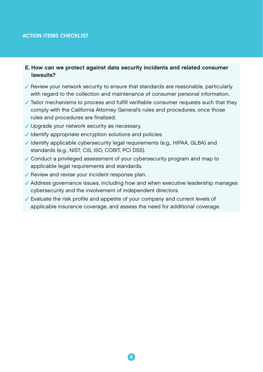#### ACTION ITEMS CHECKLIST

#### E. How can we protect against data security incidents and related consumer lawsuits?

- $\sqrt{\ }$  Review your network security to ensure that standards are reasonable, particularly with regard to the collection and maintenance of consumer personal information.
- Tailor mechanisms to process and fulfill verifiable consumer requests such that they comply with the California Attorney General's rules and procedures, once those rules and procedures are finalized.
- Upgrade your network security as necessary.
- $\checkmark$  Identify appropriate encryption solutions and policies.
- $\checkmark$  Identify applicable cybersecurity legal requirements (e.g., HIPAA, GLBA) and standards (e.g., NIST, CIS, ISO, COBIT, PCI DSS).
- Conduct a privileged assessment of your cybersecurity program and map to applicable legal requirements and standards.
- $\sqrt{\ }$  Review and revise your incident response plan.
- Address governance issues, including how and when executive leadership manages cybersecurity and the involvement of independent directors.
- Evaluate the risk profile and appetite of your company and current levels of applicable insurance coverage, and assess the need for additional coverage.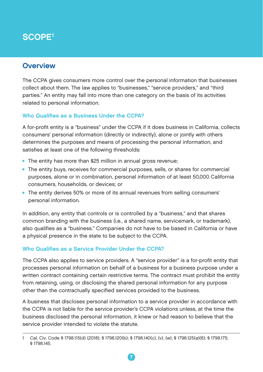# <span id="page-8-0"></span>SCOPE1

# **Overview**

The CCPA gives consumers more control over the personal information that businesses collect about them. The law applies to "businesses," "service providers," and "third parties." An entity may fall into more than one category on the basis of its activities related to personal information.

# Who Qualifies as a Business Under the CCPA?

A for-profit entity is a "business" under the CCPA if it does business in California, collects consumers' personal information (directly or indirectly), alone or jointly with others determines the purposes and means of processing the personal information, and satisfies at least one of the following thresholds:

- The entity has more than \$25 million in annual gross revenue;
- The entity buys, receives for commercial purposes, sells, or shares for commercial purposes, alone or in combination, personal information of at least 50,000 California consumers, households, or devices; or
- The entity derives 50% or more of its annual revenues from selling consumers' personal information.

In addition, any entity that controls or is controlled by a "business," and that shares common branding with the business (i.e., a shared name, servicemark, or trademark), also qualifies as a "business." Companies do not have to be based in California or have a physical presence in the state to be subject to the CCPA.

# Who Qualifies as a Service Provider Under the CCPA?

The CCPA also applies to service providers. A "service provider" is a for-profit entity that processes personal information on behalf of a business for a business purpose under a written contract containing certain restrictive terms. The contract must prohibit the entity from retaining, using, or disclosing the shared personal information for any purpose other than the contractually specified services provided to the business.

A business that discloses personal information to a service provider in accordance with the CCPA is not liable for the service provider's CCPA violations unless, at the time the business disclosed the personal information, it knew or had reason to believe that the service provider intended to violate the statute.

<sup>1</sup> Cal. Civ. Code § 1798.115(d) (2018); § 1798.120(b); § 1798.140(c), (v), (w); § 1798.125(a)(6); § 1798.175; § 1798.145.

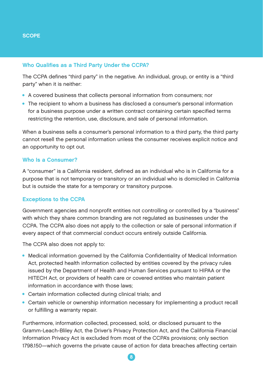#### Who Qualifies as a Third Party Under the CCPA?

The CCPA defines "third party" in the negative. An individual, group, or entity is a "third party" when it is neither:

- A covered business that collects personal information from consumers; nor
- The recipient to whom a business has disclosed a consumer's personal information for a business purpose under a written contract containing certain specified terms restricting the retention, use, disclosure, and sale of personal information.

When a business sells a consumer's personal information to a third party, the third party cannot resell the personal information unless the consumer receives explicit notice and an opportunity to opt out.

#### Who Is a Consumer?

A "consumer" is a California resident, defined as an individual who is in California for a purpose that is not temporary or transitory or an individual who is domiciled in California but is outside the state for a temporary or transitory purpose.

#### Exceptions to the CCPA

Government agencies and nonprofit entities not controlling or controlled by a "business" with which they share common branding are not regulated as businesses under the CCPA. The CCPA also does not apply to the collection or sale of personal information if every aspect of that commercial conduct occurs entirely outside California.

The CCPA also does not apply to:

- Medical information governed by the California Confidentiality of Medical Information Act, protected health information collected by entities covered by the privacy rules issued by the Department of Health and Human Services pursuant to HIPAA or the HITECH Act, or providers of health care or covered entities who maintain patient information in accordance with those laws;
- Certain information collected during clinical trials; and
- Certain vehicle or ownership information necessary for implementing a product recall or fulfilling a warranty repair.

Furthermore, information collected, processed, sold, or disclosed pursuant to the Gramm-Leach-Bliley Act, the Driver's Privacy Protection Act, and the California Financial Information Privacy Act is excluded from most of the CCPA's provisions; only section 1798.150—which governs the private cause of action for data breaches affecting certain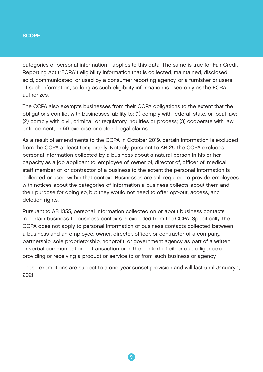#### **SCOPE**

categories of personal information—applies to this data. The same is true for Fair Credit Reporting Act ("FCRA") eligibility information that is collected, maintained, disclosed, sold, communicated, or used by a consumer reporting agency, or a furnisher or users of such information, so long as such eligibility information is used only as the FCRA authorizes.

The CCPA also exempts businesses from their CCPA obligations to the extent that the obligations conflict with businesses' ability to: (1) comply with federal, state, or local law; (2) comply with civil, criminal, or regulatory inquiries or process; (3) cooperate with law enforcement; or (4) exercise or defend legal claims.

As a result of amendments to the CCPA in October 2019, certain information is excluded from the CCPA at least temporarily. Notably, pursuant to AB 25, the CCPA excludes personal information collected by a business about a natural person in his or her capacity as a job applicant to, employee of, owner of, director of, officer of, medical staff member of, or contractor of a business to the extent the personal information is collected or used within that context. Businesses are still required to provide employees with notices about the categories of information a business collects about them and their purpose for doing so, but they would not need to offer opt-out, access, and deletion rights.

Pursuant to AB 1355, personal information collected on or about business contacts in certain business-to-business contexts is excluded from the CCPA. Specifically, the CCPA does not apply to personal information of business contacts collected between a business and an employee, owner, director, officer, or contractor of a company, partnership, sole proprietorship, nonprofit, or government agency as part of a written or verbal communication or transaction or in the context of either due diligence or providing or receiving a product or service to or from such business or agency.

These exemptions are subject to a one-year sunset provision and will last until January 1, 2021.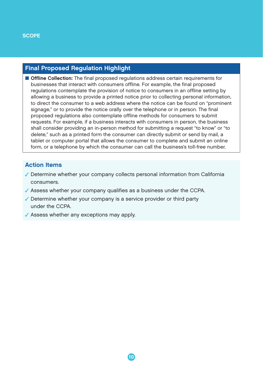# Final Proposed Regulation Highlight

**Offline Collection:** The final proposed regulations address certain requirements for businesses that interact with consumers offline. For example, the final proposed regulations contemplate the provision of notice to consumers in an offline setting by allowing a business to provide a printed notice prior to collecting personal information, to direct the consumer to a web address where the notice can be found on "prominent signage," or to provide the notice orally over the telephone or in person. The final proposed regulations also contemplate offline methods for consumers to submit requests. For example, if a business interacts with consumers in person, the business shall consider providing an in-person method for submitting a request "to know" or "to delete," such as a printed form the consumer can directly submit or send by mail, a tablet or computer portal that allows the consumer to complete and submit an online form, or a telephone by which the consumer can call the business's toll-free number.

#### Action Items

- Determine whether your company collects personal information from California consumers.
- Assess whether your company qualifies as a business under the CCPA.
- Determine whether your company is a service provider or third party under the CCPA.
- Assess whether any exceptions may apply.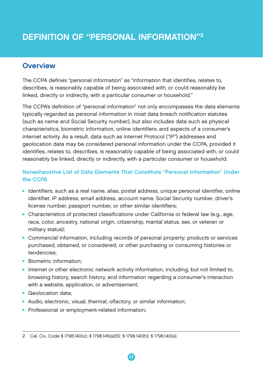# <span id="page-12-0"></span>**Overview**

The CCPA defines "personal information" as "information that identifies, relates to, describes, is reasonably capable of being associated with, or could reasonably be linked, directly or indirectly, with a particular consumer or household."

The CCPA's definition of "personal information" not only encompasses the data elements typically regarded as personal information in most data breach notification statutes (such as name and Social Security number), but also includes data such as physical characteristics, biometric information, online identifiers, and aspects of a consumer's internet activity. As a result, data such as Internet Protocol ("IP") addresses and geolocation data may be considered personal information under the CCPA, provided it identifies, relates to, describes, is reasonably capable of being associated with, or could reasonably be linked, directly or indirectly, with a particular consumer or household.

# Nonexhaustive List of Data Elements That Constitute "Personal Information" Under the CCPA

- Identifiers, such as a real name, alias, postal address, unique personal identifier, online identifier, IP address, email address, account name, Social Security number, driver's license number, passport number, or other similar identifiers;
- Characteristics of protected classifications under California or federal law (e.g., age, race, color, ancestry, national origin, citizenship, marital status, sex, or veteran or military status);
- Commercial information, including records of personal property; products or services purchased, obtained, or considered; or other purchasing or consuming histories or tendencies;
- Biometric information:
- Internet or other electronic network activity information, including, but not limited to, browsing history, search history, and information regarding a consumer's interaction with a website, application, or advertisement;
- Geolocation data:
- Audio, electronic, visual, thermal, olfactory, or similar information;
- Professional or employment-related information;

<sup>2</sup> Cal. Civ. Code § 1798.140(o); § 1798.145(a)(5); § 1798.140(h); § 1798.140(a).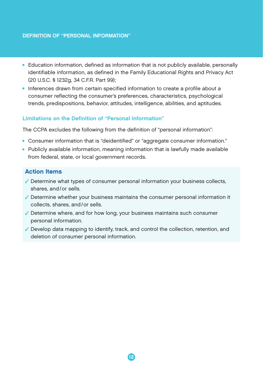#### DEFINITION OF "PERSONAL INFORMATION"

- Education information, defined as information that is not publicly available, personally identifiable information, as defined in the Family Educational Rights and Privacy Act (20 U.S.C. § 1232g, 34 C.F.R. Part 99);
- Inferences drawn from certain specified information to create a profile about a consumer reflecting the consumer's preferences, characteristics, psychological trends, predispositions, behavior, attitudes, intelligence, abilities, and aptitudes.

#### Limitations on the Definition of "Personal Information"

The CCPA excludes the following from the definition of "personal information":

- Consumer information that is "deidentified" or "aggregate consumer information."
- Publicly available information, meaning information that is lawfully made available from federal, state, or local government records.

#### Action Items

- $\checkmark$  Determine what types of consumer personal information your business collects, shares, and/or sells.
- Determine whether your business maintains the consumer personal information it collects, shares, and/or sells.
- Determine where, and for how long, your business maintains such consumer personal information.
- $\checkmark$  Develop data mapping to identify, track, and control the collection, retention, and deletion of consumer personal information.

12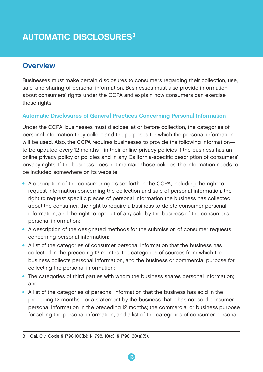# <span id="page-14-0"></span>**AUTOMATIC DISCLOSURES<sup>3</sup>**

# **Overview**

Businesses must make certain disclosures to consumers regarding their collection, use, sale, and sharing of personal information. Businesses must also provide information about consumers' rights under the CCPA and explain how consumers can exercise those rights.

# Automatic Disclosures of General Practices Concerning Personal Information

Under the CCPA, businesses must disclose, at or before collection, the categories of personal information they collect and the purposes for which the personal information will be used. Also, the CCPA requires businesses to provide the following information to be updated every 12 months—in their online privacy policies if the business has an online privacy policy or policies and in any California-specific description of consumers' privacy rights. If the business does not maintain those policies, the information needs to be included somewhere on its website:

- A description of the consumer rights set forth in the CCPA, including the right to request information concerning the collection and sale of personal information, the right to request specific pieces of personal information the business has collected about the consumer, the right to require a business to delete consumer personal information, and the right to opt out of any sale by the business of the consumer's personal information;
- A description of the designated methods for the submission of consumer requests concerning personal information;
- A list of the categories of consumer personal information that the business has collected in the preceding 12 months, the categories of sources from which the business collects personal information, and the business or commercial purpose for collecting the personal information;
- The categories of third parties with whom the business shares personal information; and
- A list of the categories of personal information that the business has sold in the preceding 12 months—or a statement by the business that it has not sold consumer personal information in the preceding 12 months; the commercial or business purpose for selling the personal information; and a list of the categories of consumer personal

<sup>3</sup> Cal. Civ. Code § 1798.100(b); § 1798.110(c); § 1798.130(a)(5).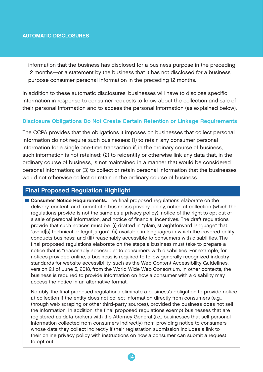#### AUTOMATIC DISCLOSURES

information that the business has disclosed for a business purpose in the preceding 12 months—or a statement by the business that it has not disclosed for a business purpose consumer personal information in the preceding 12 months.

In addition to these automatic disclosures, businesses will have to disclose specific information in response to consumer requests to know about the collection and sale of their personal information and to access the personal information (as explained below).

#### Disclosure Obligations Do Not Create Certain Retention or Linkage Requirements

The CCPA provides that the obligations it imposes on businesses that collect personal information do not require such businesses: (1) to retain any consumer personal information for a single one-time transaction if, in the ordinary course of business, such information is not retained; (2) to reidentify or otherwise link any data that, in the ordinary course of business, is not maintained in a manner that would be considered personal information; or (3) to collect or retain personal information that the businesses would not otherwise collect or retain in the ordinary course of business.

# Final Proposed Regulation Highlight

**Consumer Notice Requirements:** The final proposed regulations elaborate on the delivery, content, and format of a business's privacy policy, notice at collection (which the regulations provide is not the same as a privacy policy), notice of the right to opt out of a sale of personal information, and notice of financial incentives. The draft regulations provide that such notices must be: (i) drafted in "plain, straightforward language" that "avoid[s] technical or legal jargon"; (ii) available in languages in which the covered entity conducts business; and (iii) reasonably accessible to consumers with disabilities. The final proposed regulations elaborate on the steps a business must take to prepare a notice that is "reasonably accessible" to consumers with disabilities. For example, for notices provided online, a business is required to follow generally recognized industry standards for website accessibility, such as the Web Content Accessibility Guidelines, version 2.1 of June 5, 2018, from the World Wide Web Consortium. In other contexts, the business is required to provide information on how a consumer with a disability may access the notice in an alternative format.

Notably, the final proposed regulations eliminate a business's obligation to provide notice at collection if the entity does not collect information directly from consumers (e.g., through web scraping or other third-party sources), provided the business does not sell the information. In addition, the final proposed regulations exempt businesses that are registered as data brokers with the Attorney General (i.e., businesses that sell personal information collected from consumers indirectly) from providing notice to consumers whose data they collect indirectly if their registration submission includes a link to their online privacy policy with instructions on how a consumer can submit a request to opt out.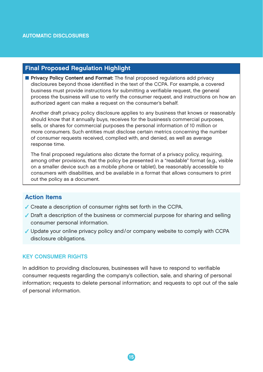# Final Proposed Regulation Highlight

**Privacy Policy Content and Format:** The final proposed regulations add privacy disclosures beyond those identified in the text of the CCPA. For example, a covered business must provide instructions for submitting a verifiable request, the general process the business will use to verify the consumer request, and instructions on how an authorized agent can make a request on the consumer's behalf.

Another draft privacy policy disclosure applies to any business that knows or reasonably should know that it annually buys, receives for the business's commercial purposes, sells, or shares for commercial purposes the personal information of 10 million or more consumers. Such entities must disclose certain metrics concerning the number of consumer requests received, complied with, and denied, as well as average response time.

The final proposed regulations also dictate the format of a privacy policy, requiring, among other provisions, that the policy be presented in a "readable" format (e.g., visible on a smaller device such as a mobile phone or tablet), be reasonably accessible to consumers with disabilities, and be available in a format that allows consumers to print out the policy as a document.

# Action Items

- Create a description of consumer rights set forth in the CCPA.
- $\checkmark$  Draft a description of the business or commercial purpose for sharing and selling consumer personal information.
- Update your online privacy policy and/or company website to comply with CCPA disclosure obligations.

#### KEY CONSUMER RIGHTS

In addition to providing disclosures, businesses will have to respond to verifiable consumer requests regarding the company's collection, sale, and sharing of personal information; requests to delete personal information; and requests to opt out of the sale of personal information.

15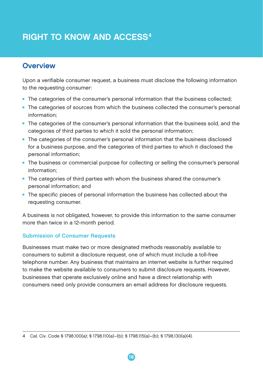# <span id="page-17-0"></span>RIGHT TO KNOW AND ACCESS4

# **Overview**

Upon a verifiable consumer request, a business must disclose the following information to the requesting consumer:

- The categories of the consumer's personal information that the business collected;
- The categories of sources from which the business collected the consumer's personal information;
- The categories of the consumer's personal information that the business sold, and the categories of third parties to which it sold the personal information;
- The categories of the consumer's personal information that the business disclosed for a business purpose, and the categories of third parties to which it disclosed the personal information;
- The business or commercial purpose for collecting or selling the consumer's personal information;
- The categories of third parties with whom the business shared the consumer's personal information; and
- The specific pieces of personal information the business has collected about the requesting consumer.

A business is not obligated, however, to provide this information to the same consumer more than twice in a 12-month period.

# Submission of Consumer Requests

Businesses must make two or more designated methods reasonably available to consumers to submit a disclosure request, one of which must include a toll-free telephone number. Any business that maintains an internet website is further required to make the website available to consumers to submit disclosure requests. However, businesses that operate exclusively online and have a direct relationship with consumers need only provide consumers an email address for disclosure requests.

<sup>4</sup> Cal. Civ. Code § 1798.100(a); § 1798.110(a)–(b); § 1798.115(a)–(b); § 1798.130(a)(4).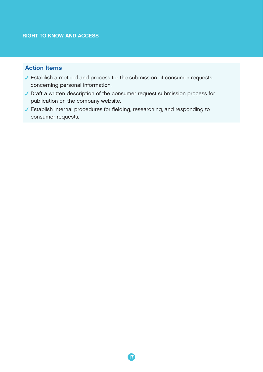# Action Items

- Establish a method and process for the submission of consumer requests concerning personal information.
- Draft a written description of the consumer request submission process for publication on the company website.
- Establish internal procedures for fielding, researching, and responding to consumer requests.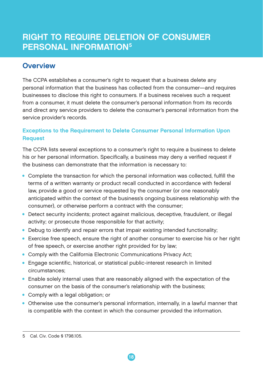# <span id="page-19-0"></span>RIGHT TO REQUIRE DELETION OF CONSUMER PERSONAL INFORMATION5

# **Overview**

The CCPA establishes a consumer's right to request that a business delete any personal information that the business has collected from the consumer—and requires businesses to disclose this right to consumers. If a business receives such a request from a consumer, it must delete the consumer's personal information from its records and direct any service providers to delete the consumer's personal information from the service provider's records.

# Exceptions to the Requirement to Delete Consumer Personal Information Upon Request

The CCPA lists several exceptions to a consumer's right to require a business to delete his or her personal information. Specifically, a business may deny a verified request if the business can demonstrate that the information is necessary to:

- Complete the transaction for which the personal information was collected, fulfill the terms of a written warranty or product recall conducted in accordance with federal law, provide a good or service requested by the consumer (or one reasonably anticipated within the context of the business's ongoing business relationship with the consumer), or otherwise perform a contract with the consumer;
- Detect security incidents; protect against malicious, deceptive, fraudulent, or illegal activity; or prosecute those responsible for that activity;
- Debug to identify and repair errors that impair existing intended functionality;
- Exercise free speech, ensure the right of another consumer to exercise his or her right of free speech, or exercise another right provided for by law;
- Comply with the California Electronic Communications Privacy Act:
- Engage scientific, historical, or statistical public-interest research in limited circumstances;
- Enable solely internal uses that are reasonably aligned with the expectation of the consumer on the basis of the consumer's relationship with the business;
- Comply with a legal obligation; or
- Otherwise use the consumer's personal information, internally, in a lawful manner that is compatible with the context in which the consumer provided the information.

<sup>5</sup> Cal. Civ. Code § 1798.105.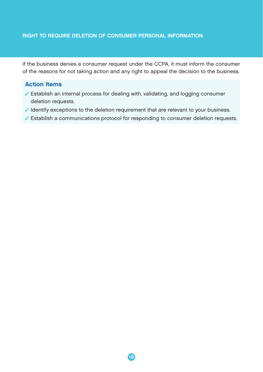#### RIGHT TO REQUIRE DELETION OF CONSUMER PERSONAL INFORMATION

If the business denies a consumer request under the CCPA, it must inform the consumer of the reasons for not taking action and any right to appeal the decision to the business.

# Action Items

- Establish an internal process for dealing with, validating, and logging consumer deletion requests.
- $\checkmark$  Identify exceptions to the deletion requirement that are relevant to your business.
- Establish a communications protocol for responding to consumer deletion requests.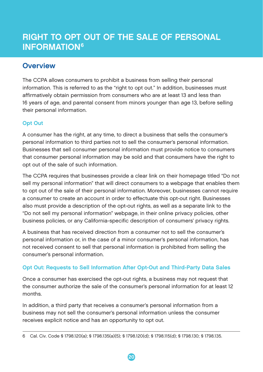# <span id="page-21-0"></span>RIGHT TO OPT OUT OF THE SALE OF PERSONAL **INFORMATION<sup>6</sup>**

# **Overview**

The CCPA allows consumers to prohibit a business from selling their personal information. This is referred to as the "right to opt out." In addition, businesses must affirmatively obtain permission from consumers who are at least 13 and less than 16 years of age, and parental consent from minors younger than age 13, before selling their personal information.

# Opt Out

A consumer has the right, at any time, to direct a business that sells the consumer's personal information to third parties not to sell the consumer's personal information. Businesses that sell consumer personal information must provide notice to consumers that consumer personal information may be sold and that consumers have the right to opt out of the sale of such information.

The CCPA requires that businesses provide a clear link on their homepage titled "Do not sell my personal information" that will direct consumers to a webpage that enables them to opt out of the sale of their personal information. Moreover, businesses cannot require a consumer to create an account in order to effectuate this opt-out right. Businesses also must provide a description of the opt-out rights, as well as a separate link to the "Do not sell my personal information" webpage, in their online privacy policies, other business policies, or any California-specific description of consumers' privacy rights.

A business that has received direction from a consumer not to sell the consumer's personal information or, in the case of a minor consumer's personal information, has not received consent to sell that personal information is prohibited from selling the consumer's personal information.

# Opt Out: Requests to Sell Information After Opt-Out and Third-Party Data Sales

Once a consumer has exercised the opt-out rights, a business may not request that the consumer authorize the sale of the consumer's personal information for at least 12 months.

In addition, a third party that receives a consumer's personal information from a business may not sell the consumer's personal information unless the consumer receives explicit notice and has an opportunity to opt out.

<sup>6</sup> Cal. Civ. Code § 1798.120(a); § 1798.135(a)(5); § 1798.120(d); § 1798.115(d); § 1798.130; § 1798.135.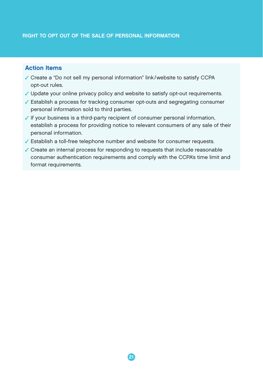# Action Items

- Create a "Do not sell my personal information" link/website to satisfy CCPA opt-out rules.
- Update your online privacy policy and website to satisfy opt-out requirements.
- Establish a process for tracking consumer opt-outs and segregating consumer personal information sold to third parties.
- If your business is a third-party recipient of consumer personal information, establish a process for providing notice to relevant consumers of any sale of their personal information.
- Establish a toll-free telephone number and website for consumer requests.
- Create an internal process for responding to requests that include reasonable consumer authentication requirements and comply with the CCPA's time limit and format requirements.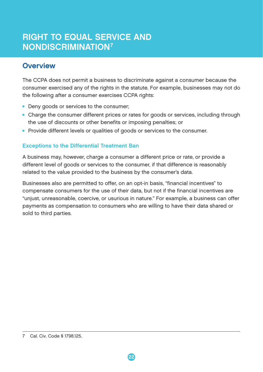# <span id="page-23-0"></span>RIGHT TO EQUAL SERVICE AND NONDISCRIMINATION7

# **Overview**

The CCPA does not permit a business to discriminate against a consumer because the consumer exercised any of the rights in the statute. For example, businesses may not do the following after a consumer exercises CCPA rights:

- Deny goods or services to the consumer;
- Charge the consumer different prices or rates for goods or services, including through the use of discounts or other benefits or imposing penalties; or
- Provide different levels or qualities of goods or services to the consumer.

# Exceptions to the Differential Treatment Ban

A business may, however, charge a consumer a different price or rate, or provide a different level of goods or services to the consumer, if that difference is reasonably related to the value provided to the business by the consumer's data.

Businesses also are permitted to offer, on an opt-in basis, "financial incentives" to compensate consumers for the use of their data, but not if the financial incentives are "unjust, unreasonable, coercive, or usurious in nature." For example, a business can offer payments as compensation to consumers who are willing to have their data shared or sold to third parties.

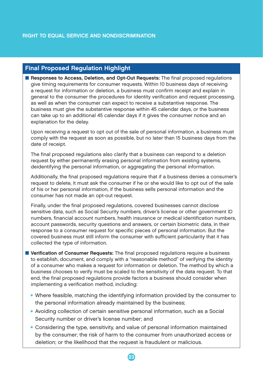# Final Proposed Regulation Highlight

**Responses to Access, Deletion, and Opt-Out Requests:** The final proposed regulations give timing requirements for consumer requests. Within 10 business days of receiving a request for information or deletion, a business must confirm receipt and explain in general to the consumer the procedures for identity verification and request processing, as well as when the consumer can expect to receive a substantive response. The business must give the substantive response within 45 calendar days, or the business can take up to an additional 45 calendar days if it gives the consumer notice and an explanation for the delay.

Upon receiving a request to opt out of the sale of personal information, a business must comply with the request as soon as possible, but no later than 15 business days from the date of receipt.

The final proposed regulations also clarify that a business can respond to a deletion request by either permanently erasing personal information from existing systems, deidentifying the personal information, or aggregating the personal information.

Additionally, the final proposed regulations require that if a business denies a consumer's request to delete, it must ask the consumer if he or she would like to opt out of the sale of his or her personal information, if the business sells personal information and the consumer has not made an opt-out request.

Finally, under the final proposed regulations, covered businesses cannot disclose sensitive data, such as Social Security numbers, driver's license or other government ID numbers, financial account numbers, health insurance or medical identification numbers, account passwords, security questions and answers, or certain biometric data, in their response to a consumer request for specific pieces of personal information. But the covered business must still inform the consumer with sufficient particularity that it has collected the type of information.

- **E** Verification of Consumer Requests: The final proposed regulations require a business to establish, document, and comply with a "reasonable method" of verifying the identity of a consumer who makes a request for information or deletion. The method by which a business chooses to verify must be scaled to the sensitivity of the data request. To that end, the final proposed regulations provide factors a business should consider when implementing a verification method, including:
	- Where feasible, matching the identifying information provided by the consumer to the personal information already maintained by the business;
	- Avoiding collection of certain sensitive personal information, such as a Social Security number or driver's license number; and
	- Considering the type, sensitivity, and value of personal information maintained by the consumer; the risk of harm to the consumer from unauthorized access or deletion; or the likelihood that the request is fraudulent or malicious.

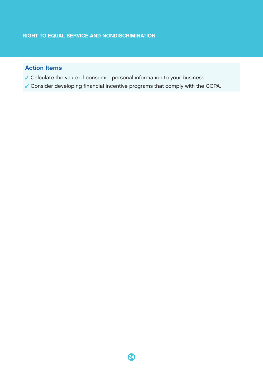# Action Items

- Calculate the value of consumer personal information to your business.
- Consider developing financial incentive programs that comply with the CCPA.

24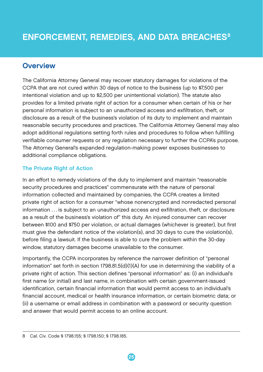# <span id="page-26-0"></span>**Overview**

The California Attorney General may recover statutory damages for violations of the CCPA that are not cured within 30 days of notice to the business (up to \$7,500 per intentional violation and up to \$2,500 per unintentional violation). The statute also provides for a limited private right of action for a consumer when certain of his or her personal information is subject to an unauthorized access and exfiltration, theft, or disclosure as a result of the business's violation of its duty to implement and maintain reasonable security procedures and practices. The California Attorney General may also adopt additional regulations setting forth rules and procedures to follow when fulfilling verifiable consumer requests or any regulation necessary to further the CCPA's purpose. The Attorney General's expanded regulation-making power exposes businesses to additional compliance obligations.

# **The Private Right of Action**

In an effort to remedy violations of the duty to implement and maintain "reasonable security procedures and practices" commensurate with the nature of personal information collected and maintained by companies, the CCPA creates a limited private right of action for a consumer "whose nonencrypted and nonredacted personal information . . . is subject to an unauthorized access and exfiltration, theft, or disclosure as a result of the business's violation of" this duty. An injured consumer can recover between \$100 and \$750 per violation, or actual damages (whichever is greater), but first must give the defendant notice of the violation(s), and 30 days to cure the violation(s), before filing a lawsuit. If the business is able to cure the problem within the 30-day window, statutory damages become unavailable to the consumer.

Importantly, the CCPA incorporates by reference the narrower definition of "personal information" set forth in section 1798.81.5(d)(1)(A) for use in determining the viability of a private right of action. This section defines "personal information" as: (i) an individual's first name (or initial) and last name, in combination with certain government-issued identification, certain financial information that would permit access to an individual's financial account, medical or health insurance information, or certain biometric data; or (ii) a username or email address in combination with a password or security question and answer that would permit access to an online account.

<sup>8</sup> Cal. Civ. Code § 1798.155; § 1798.150; § 1798.185.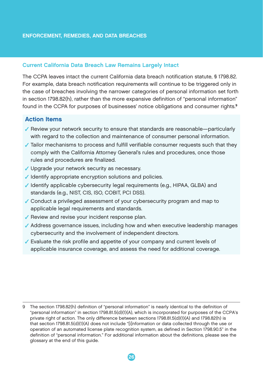#### Current California Data Breach Law Remains Largely Intact

The CCPA leaves intact the current California data breach notification statute, § 1798.82. For example, data breach notification requirements will continue to be triggered only in the case of breaches involving the narrower categories of personal information set forth in section 1798.82(h), rather than the more expansive definition of "personal information" found in the CCPA for purposes of businesses' notice obligations and consumer rights.<sup>9</sup>

# Action Items

- Review your network security to ensure that standards are reasonable—particularly with regard to the collection and maintenance of consumer personal information.
- $\checkmark$  Tailor mechanisms to process and fulfill verifiable consumer requests such that they comply with the California Attorney General's rules and procedures, once those rules and procedures are finalized.
- ✔ Upgrade your network security as necessary.
- I dentify appropriate encryption solutions and policies.
- Identify applicable cybersecurity legal requirements (e.g., HIPAA, GLBA) and standards (e.g., NIST, CIS, ISO, COBIT, PCI DSS).
- Conduct a privileged assessment of your cybersecurity program and map to applicable legal requirements and standards.
- $\sqrt{\ }$  Review and revise your incident response plan.
- Address governance issues, including how and when executive leadership manages cybersecurity and the involvement of independent directors.
- Evaluate the risk profile and appetite of your company and current levels of applicable insurance coverage, and assess the need for additional coverage.

<sup>9</sup> The section 1798.82(h) definition of "personal information" is nearly identical to the definition of "personal information" in section 1798.81.5(d)(1)(A), which is incorporated for purposes of the CCPA's private right of action. The only difference between sections 1798.81.5(d)(1)(A) and 1798.82(h) is that section 1798.81.5(d)(1)(A) does not include "[i]nformation or data collected through the use or operation of an automated license plate recognition system, as defined in Section 1798.90.5" in the definition of "personal information." For additional information about the definitions, please see the glossary at the end of this guide.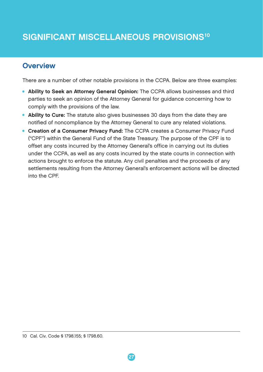# <span id="page-28-0"></span>SIGNIFICANT MISCELLANEOUS PROVISIONS<sup>10</sup>

# **Overview**

There are a number of other notable provisions in the CCPA. Below are three examples:

- Ability to Seek an Attorney General Opinion: The CCPA allows businesses and third parties to seek an opinion of the Attorney General for guidance concerning how to comply with the provisions of the law.
- Ability to Cure: The statute also gives businesses 30 days from the date they are notified of noncompliance by the Attorney General to cure any related violations.
- Creation of a Consumer Privacy Fund: The CCPA creates a Consumer Privacy Fund ("CPF") within the General Fund of the State Treasury. The purpose of the CPF is to offset any costs incurred by the Attorney General's office in carrying out its duties under the CCPA, as well as any costs incurred by the state courts in connection with actions brought to enforce the statute. Any civil penalties and the proceeds of any settlements resulting from the Attorney General's enforcement actions will be directed into the CPF.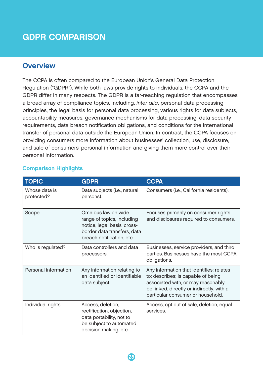# <span id="page-29-0"></span>GDPR COMPARISON

# **Overview**

The CCPA is often compared to the European Union's General Data Protection Regulation ("GDPR"). While both laws provide rights to individuals, the CCPA and the GDPR differ in many respects. The GDPR is a far-reaching regulation that encompasses a broad array of compliance topics, including, *inter alia*, personal data processing principles, the legal basis for personal data processing, various rights for data subjects, accountability measures, governance mechanisms for data processing, data security requirements, data breach notification obligations, and conditions for the international transfer of personal data outside the European Union. In contrast, the CCPA focuses on providing consumers more information about businesses' collection, use, disclosure, and sale of consumers' personal information and giving them more control over their personal information.

| <b>TOPIC</b>                | <b>GDPR</b>                                                                                                                                  | <b>CCPA</b>                                                                                                                                                                                            |
|-----------------------------|----------------------------------------------------------------------------------------------------------------------------------------------|--------------------------------------------------------------------------------------------------------------------------------------------------------------------------------------------------------|
| Whose data is<br>protected? | Data subjects (i.e., natural<br>persons).                                                                                                    | Consumers (i.e., California residents).                                                                                                                                                                |
| Scope                       | Omnibus law on wide<br>range of topics, including<br>notice, legal basis, cross-<br>border data transfers, data<br>breach notification, etc. | Focuses primarily on consumer rights<br>and disclosures required to consumers.                                                                                                                         |
| Who is regulated?           | Data controllers and data<br>processors.                                                                                                     | Businesses, service providers, and third<br>parties. Businesses have the most CCPA<br>obligations.                                                                                                     |
| Personal information        | Any information relating to<br>an identified or identifiable<br>data subject.                                                                | Any information that identifies; relates<br>to; describes; is capable of being<br>associated with, or may reasonably<br>be linked, directly or indirectly, with a<br>particular consumer or household. |
| Individual rights           | Access, deletion,<br>rectification, objection,<br>data portability, not to<br>be subject to automated<br>decision making, etc.               | Access, opt out of sale, deletion, equal<br>services.                                                                                                                                                  |

# Comparison Highlights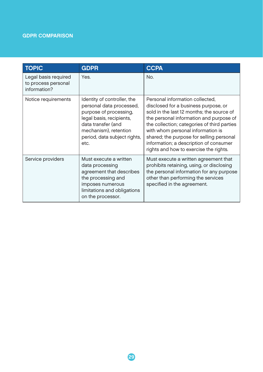# GDPR COMPARISON

| <b>TOPIC</b>                                                | <b>GDPR</b>                                                                                                                                                                                          | <b>CCPA</b>                                                                                                                                                                                                                                                                                                                                                                         |
|-------------------------------------------------------------|------------------------------------------------------------------------------------------------------------------------------------------------------------------------------------------------------|-------------------------------------------------------------------------------------------------------------------------------------------------------------------------------------------------------------------------------------------------------------------------------------------------------------------------------------------------------------------------------------|
| Legal basis required<br>to process personal<br>information? | Yes.                                                                                                                                                                                                 | No.                                                                                                                                                                                                                                                                                                                                                                                 |
| Notice requirements                                         | Identity of controller, the<br>personal data processed,<br>purpose of processing,<br>legal basis, recipients,<br>data transfer (and<br>mechanism), retention<br>period, data subject rights,<br>etc. | Personal information collected,<br>disclosed for a business purpose, or<br>sold in the last 12 months; the source of<br>the personal information and purpose of<br>the collection; categories of third parties<br>with whom personal information is<br>shared; the purpose for selling personal<br>information; a description of consumer<br>rights and how to exercise the rights. |
| Service providers                                           | Must execute a written<br>data processing<br>agreement that describes<br>the processing and<br>imposes numerous<br>limitations and obligations<br>on the processor.                                  | Must execute a written agreement that<br>prohibits retaining, using, or disclosing<br>the personal information for any purpose<br>other than performing the services<br>specified in the agreement.                                                                                                                                                                                 |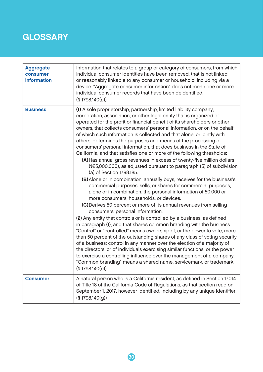<span id="page-31-0"></span>

| <b>Aggregate</b><br>consumer<br>information | Information that relates to a group or category of consumers, from which<br>individual consumer identities have been removed, that is not linked<br>or reasonably linkable to any consumer or household, including via a<br>device. "Aggregate consumer information" does not mean one or more<br>individual consumer records that have been deidentified.<br>(\$1798.140(a))                                                                                                                                                                                                                                                                                                                                                                                                                                                                                                                                                                                                                                                                                                                                                                                                                                                                                                                                                                                                                                                                                                                                                                                                                                                                                                                                                                                                            |
|---------------------------------------------|------------------------------------------------------------------------------------------------------------------------------------------------------------------------------------------------------------------------------------------------------------------------------------------------------------------------------------------------------------------------------------------------------------------------------------------------------------------------------------------------------------------------------------------------------------------------------------------------------------------------------------------------------------------------------------------------------------------------------------------------------------------------------------------------------------------------------------------------------------------------------------------------------------------------------------------------------------------------------------------------------------------------------------------------------------------------------------------------------------------------------------------------------------------------------------------------------------------------------------------------------------------------------------------------------------------------------------------------------------------------------------------------------------------------------------------------------------------------------------------------------------------------------------------------------------------------------------------------------------------------------------------------------------------------------------------------------------------------------------------------------------------------------------------|
| <b>Business</b>                             | (1) A sole proprietorship, partnership, limited liability company,<br>corporation, association, or other legal entity that is organized or<br>operated for the profit or financial benefit of its shareholders or other<br>owners, that collects consumers' personal information, or on the behalf<br>of which such information is collected and that alone, or jointly with<br>others, determines the purposes and means of the processing of<br>consumers' personal information, that does business in the State of<br>California, and that satisfies one or more of the following thresholds:<br>(A) Has annual gross revenues in excess of twenty-five million dollars<br>(\$25,000,000), as adjusted pursuant to paragraph (5) of subdivision<br>(a) of Section 1798.185.<br>(B) Alone or in combination, annually buys, receives for the business's<br>commercial purposes, sells, or shares for commercial purposes,<br>alone or in combination, the personal information of 50,000 or<br>more consumers, households, or devices.<br>(C) Derives 50 percent or more of its annual revenues from selling<br>consumers' personal information.<br>(2) Any entity that controls or is controlled by a business, as defined<br>in paragraph (1), and that shares common branding with the business.<br>"Control" or "controlled" means ownership of, or the power to vote, more<br>than 50 percent of the outstanding shares of any class of voting security<br>of a business; control in any manner over the election of a majority of<br>the directors, or of individuals exercising similar functions; or the power<br>to exercise a controlling influence over the management of a company.<br>"Common branding" means a shared name, servicemark, or trademark.<br>(S1798.140(c)) |
| <b>Consumer</b>                             | A natural person who is a California resident, as defined in Section 17014<br>of Title 18 of the California Code of Regulations, as that section read on<br>September 1, 2017, however identified, including by any unique identifier.<br>$($ § 1798.140 $(q)$ )                                                                                                                                                                                                                                                                                                                                                                                                                                                                                                                                                                                                                                                                                                                                                                                                                                                                                                                                                                                                                                                                                                                                                                                                                                                                                                                                                                                                                                                                                                                         |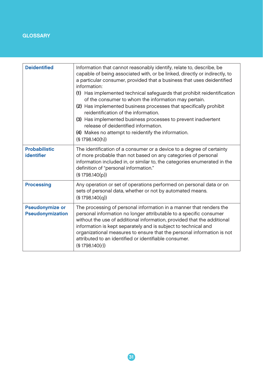| <b>Deidentified</b>                        | Information that cannot reasonably identify, relate to, describe, be<br>capable of being associated with, or be linked, directly or indirectly, to<br>a particular consumer, provided that a business that uses deidentified<br>information:<br>(1) Has implemented technical safeguards that prohibit reidentification<br>of the consumer to whom the information may pertain.<br>(2) Has implemented business processes that specifically prohibit<br>reidentification of the information.<br>(3) Has implemented business processes to prevent inadvertent<br>release of deidentified information.<br>(4) Makes no attempt to reidentify the information.<br>(§ 1798.140(h)) |
|--------------------------------------------|---------------------------------------------------------------------------------------------------------------------------------------------------------------------------------------------------------------------------------------------------------------------------------------------------------------------------------------------------------------------------------------------------------------------------------------------------------------------------------------------------------------------------------------------------------------------------------------------------------------------------------------------------------------------------------|
| <b>Probabilistic</b><br><b>identifier</b>  | The identification of a consumer or a device to a degree of certainty<br>of more probable than not based on any categories of personal<br>information included in, or similar to, the categories enumerated in the<br>definition of "personal information."<br>(§ 1798.140(p))                                                                                                                                                                                                                                                                                                                                                                                                  |
| <b>Processing</b>                          | Any operation or set of operations performed on personal data or on<br>sets of personal data, whether or not by automated means.<br>(§ 1798.140(a))                                                                                                                                                                                                                                                                                                                                                                                                                                                                                                                             |
| <b>Pseudonymize or</b><br>Pseudonymization | The processing of personal information in a manner that renders the<br>personal information no longer attributable to a specific consumer<br>without the use of additional information, provided that the additional<br>information is kept separately and is subject to technical and<br>organizational measures to ensure that the personal information is not<br>attributed to an identified or identifiable consumer.<br>(§ 1798.140(r))                                                                                                                                                                                                                                    |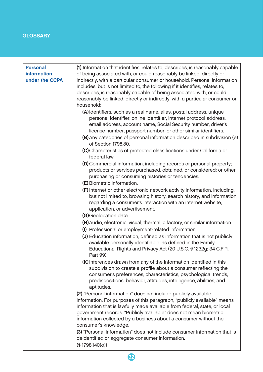| <b>Personal</b>    | (1) Information that identifies, relates to, describes, is reasonably capable                  |
|--------------------|------------------------------------------------------------------------------------------------|
| <b>information</b> | of being associated with, or could reasonably be linked, directly or                           |
| under the CCPA     | indirectly, with a particular consumer or household. Personal information                      |
|                    | includes, but is not limited to, the following if it identifies, relates to,                   |
|                    | describes, is reasonably capable of being associated with, or could                            |
|                    | reasonably be linked, directly or indirectly, with a particular consumer or                    |
|                    | household:                                                                                     |
|                    |                                                                                                |
|                    | (A) Identifiers, such as a real name, alias, postal address, unique                            |
|                    | personal identifier, online identifier, internet protocol address,                             |
|                    | email address, account name, Social Security number, driver's                                  |
|                    | license number, passport number, or other similar identifiers.                                 |
|                    | (B) Any categories of personal information described in subdivision (e)<br>of Section 1798.80. |
|                    | (C) Characteristics of protected classifications under California or<br>federal law.           |
|                    | (D) Commercial information, including records of personal property;                            |
|                    | products or services purchased, obtained, or considered; or other                              |
|                    | purchasing or consuming histories or tendencies.                                               |
|                    | (E) Biometric information.                                                                     |
|                    | (F) Internet or other electronic network activity information, including,                      |
|                    | but not limited to, browsing history, search history, and information                          |
|                    | regarding a consumer's interaction with an internet website,                                   |
|                    | application, or advertisement.                                                                 |
|                    | <b>G</b> )Geolocation data.                                                                    |
|                    | (H) Audio, electronic, visual, thermal, olfactory, or similar information.                     |
|                    | (I) Professional or employment-related information.                                            |
|                    | (J) Education information, defined as information that is not publicly                         |
|                    | available personally identifiable, as defined in the Family                                    |
|                    | Educational Rights and Privacy Act (20 U.S.C. § 1232g; 34 C.F.R.                               |
|                    | Part 99).                                                                                      |
|                    | (K) Inferences drawn from any of the information identified in this                            |
|                    | subdivision to create a profile about a consumer reflecting the                                |
|                    | consumer's preferences, characteristics, psychological trends,                                 |
|                    | predispositions, behavior, attitudes, intelligence, abilities, and                             |
|                    | aptitudes.                                                                                     |
|                    | (2) "Personal information" does not include publicly available                                 |
|                    | information. For purposes of this paragraph, "publicly available" means                        |
|                    | information that is lawfully made available from federal, state, or local                      |
|                    | government records. "Publicly available" does not mean biometric                               |
|                    | information collected by a business about a consumer without the                               |
|                    | consumer's knowledge.                                                                          |
|                    | (3) "Personal information" does not include consumer information that is                       |
|                    |                                                                                                |
|                    | deidentified or aggregate consumer information.                                                |
|                    | (§ 1798.140(o))                                                                                |

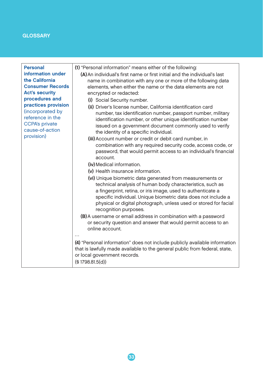| <b>Personal</b><br>information under<br>the California<br><b>Consumer Records</b><br><b>Act's security</b><br>procedures and<br>practices provision<br>(incorporated by<br>reference in the<br><b>CCPA's private</b><br>cause-of-action<br>provision) | (1) "Personal information" means either of the following:<br>(A) An individual's first name or first initial and the individual's last<br>name in combination with any one or more of the following data<br>elements, when either the name or the data elements are not<br>encrypted or redacted:<br>(i) Social Security number.<br>(ii) Driver's license number. California identification card<br>number, tax identification number, passport number, military<br>identification number, or other unique identification number<br>issued on a government document commonly used to verify<br>the identity of a specific individual.<br>(iii) Account number or credit or debit card number, in<br>combination with any required security code, access code, or<br>password, that would permit access to an individual's financial<br>account.<br>(iv) Medical information.<br>(v) Health insurance information.<br>(vi) Unique biometric data generated from measurements or<br>technical analysis of human body characteristics, such as<br>a fingerprint, retina, or iris image, used to authenticate a<br>specific individual. Unique biometric data does not include a<br>physical or digital photograph, unless used or stored for facial<br>recognition purposes.<br>(B) A username or email address in combination with a password<br>or security question and answer that would permit access to an<br>online account.<br>(4) "Personal information" does not include publicly available information<br>that is lawfully made available to the general public from federal, state,<br>or local government records.<br>(S1798.81.5(d)) |
|-------------------------------------------------------------------------------------------------------------------------------------------------------------------------------------------------------------------------------------------------------|-------------------------------------------------------------------------------------------------------------------------------------------------------------------------------------------------------------------------------------------------------------------------------------------------------------------------------------------------------------------------------------------------------------------------------------------------------------------------------------------------------------------------------------------------------------------------------------------------------------------------------------------------------------------------------------------------------------------------------------------------------------------------------------------------------------------------------------------------------------------------------------------------------------------------------------------------------------------------------------------------------------------------------------------------------------------------------------------------------------------------------------------------------------------------------------------------------------------------------------------------------------------------------------------------------------------------------------------------------------------------------------------------------------------------------------------------------------------------------------------------------------------------------------------------------------------------------------------------------------------------------------------------|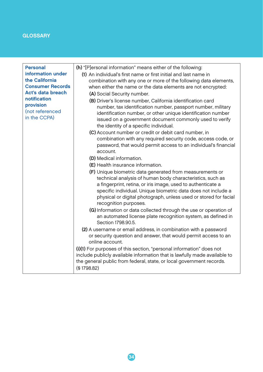| <b>Personal</b><br>information under<br>the California<br><b>Consumer Records</b><br>Act's data breach<br>notification<br>provision<br>(not referenced<br>in the CCPA) | (h) "[P]ersonal information" means either of the following:<br>(1) An individual's first name or first initial and last name in<br>combination with any one or more of the following data elements,<br>when either the name or the data elements are not encrypted:<br>(A) Social Security number.<br>(B) Driver's license number, California identification card<br>number, tax identification number, passport number, military<br>identification number, or other unique identification number<br>issued on a government document commonly used to verify<br>the identity of a specific individual.<br>(C) Account number or credit or debit card number, in<br>combination with any required security code, access code, or<br>password, that would permit access to an individual's financial<br>account.<br>(D) Medical information.<br><b>(E)</b> Health insurance information. |
|------------------------------------------------------------------------------------------------------------------------------------------------------------------------|----------------------------------------------------------------------------------------------------------------------------------------------------------------------------------------------------------------------------------------------------------------------------------------------------------------------------------------------------------------------------------------------------------------------------------------------------------------------------------------------------------------------------------------------------------------------------------------------------------------------------------------------------------------------------------------------------------------------------------------------------------------------------------------------------------------------------------------------------------------------------------------|
|                                                                                                                                                                        | (F) Unique biometric data generated from measurements or<br>technical analysis of human body characteristics, such as<br>a fingerprint, retina, or iris image, used to authenticate a<br>specific individual. Unique biometric data does not include a<br>physical or digital photograph, unless used or stored for facial<br>recognition purposes.<br>(G) Information or data collected through the use or operation of                                                                                                                                                                                                                                                                                                                                                                                                                                                               |
|                                                                                                                                                                        | an automated license plate recognition system, as defined in<br>Section 1798.90.5.                                                                                                                                                                                                                                                                                                                                                                                                                                                                                                                                                                                                                                                                                                                                                                                                     |
|                                                                                                                                                                        | (2) A username or email address, in combination with a password<br>or security question and answer, that would permit access to an<br>online account.                                                                                                                                                                                                                                                                                                                                                                                                                                                                                                                                                                                                                                                                                                                                  |
|                                                                                                                                                                        | (i)(1) For purposes of this section, "personal information" does not<br>include publicly available information that is lawfully made available to<br>the general public from federal, state, or local government records.<br>(§1798.82)                                                                                                                                                                                                                                                                                                                                                                                                                                                                                                                                                                                                                                                |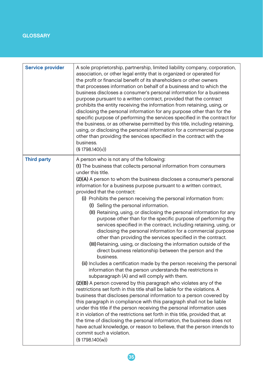| <b>Service provider</b> | A sole proprietorship, partnership, limited liability company, corporation,<br>association, or other legal entity that is organized or operated for<br>the profit or financial benefit of its shareholders or other owners<br>that processes information on behalf of a business and to which the<br>business discloses a consumer's personal information for a business<br>purpose pursuant to a written contract, provided that the contract<br>prohibits the entity receiving the information from retaining, using, or<br>disclosing the personal information for any purpose other than for the<br>specific purpose of performing the services specified in the contract for<br>the business, or as otherwise permitted by this title, including retaining,<br>using, or disclosing the personal information for a commercial purpose<br>other than providing the services specified in the contract with the<br>business.<br>(S1798.140(v))                                                                                                                                                                                                                                                                                                                                                                                                                                                                                                                                                                                                                                                                                                                                                                                                                                         |
|-------------------------|-------------------------------------------------------------------------------------------------------------------------------------------------------------------------------------------------------------------------------------------------------------------------------------------------------------------------------------------------------------------------------------------------------------------------------------------------------------------------------------------------------------------------------------------------------------------------------------------------------------------------------------------------------------------------------------------------------------------------------------------------------------------------------------------------------------------------------------------------------------------------------------------------------------------------------------------------------------------------------------------------------------------------------------------------------------------------------------------------------------------------------------------------------------------------------------------------------------------------------------------------------------------------------------------------------------------------------------------------------------------------------------------------------------------------------------------------------------------------------------------------------------------------------------------------------------------------------------------------------------------------------------------------------------------------------------------------------------------------------------------------------------------------------------------|
| <b>Third party</b>      | A person who is not any of the following:<br>(1) The business that collects personal information from consumers<br>under this title.<br>(2)(A) A person to whom the business discloses a consumer's personal<br>information for a business purpose pursuant to a written contract,<br>provided that the contract:<br>(i) Prohibits the person receiving the personal information from:<br>(I) Selling the personal information.<br>(II) Retaining, using, or disclosing the personal information for any<br>purpose other than for the specific purpose of performing the<br>services specified in the contract, including retaining, using, or<br>disclosing the personal information for a commercial purpose<br>other than providing the services specified in the contract.<br>(III) Retaining, using, or disclosing the information outside of the<br>direct business relationship between the person and the<br>business.<br>(ii) Includes a certification made by the person receiving the personal<br>information that the person understands the restrictions in<br>subparagraph (A) and will comply with them.<br>(2)(B) A person covered by this paragraph who violates any of the<br>restrictions set forth in this title shall be liable for the violations. A<br>business that discloses personal information to a person covered by<br>this paragraph in compliance with this paragraph shall not be liable<br>under this title if the person receiving the personal information uses<br>it in violation of the restrictions set forth in this title, provided that, at<br>the time of disclosing the personal information, the business does not<br>have actual knowledge, or reason to believe, that the person intends to<br>commit such a violation.<br>(S1798.140(w)) |

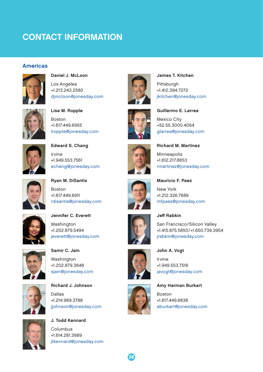# <span id="page-37-0"></span>CONTACT INFORMATION

#### Americas



Daniel J. McLoon Los Angeles +1.213.243.2580 [djmcloon@jonesday.com](mailto:djmcloon@jonesday.com)



Lisa M. Ropple Boston +1.617.449.6955 [lropple@jonesday.com](mailto:lropple@jonesday.com)



Edward S. Chang Irvine +1.949.553.7561 [echang@jonesday.com](mailto:echang@jonesday.com)



Ryan M. DiSantis Boston +1.617.449.6911 [rdisantis@jonesday.com](mailto:rdisantis@jonesday.com)



Jennifer C. Everett Washington +1.202.879.5494 [jeverett@jonesday.com](mailto:jeverett@jonesday.com)



Samir C. Jain Washington +1.202.879.3848 [sjain@jonesday.com](mailto:sjain@jonesday.com)



Richard J. Johnson Dallas +1.214.969.3788 [jjohnson@jonesday.com](mailto:jjohnson@jonesday.com)



J. Todd Kennard Columbus +1.614.281.3989 [jtkennard@jonesday.com](mailto:jtkennard@jonesday.com)



James T. Kitchen Pittsburgh +1.412.394.7272 [jkitchen@jonesday.com](mailto:jkitchen@jonesday.com)



Guillermo E. Larrea Mexico City +52.55.3000.4064 [glarrea@jonesday.com](mailto:glarrea@jonesday.com)

Richard M. Martinez



Minneapolis +1.612.217.8853 [rmartinez@jonesday.com](mailto:rmartinez@jonesday.com)



Mauricio F. Paez New York +1.212.326.7889 [mfpaez@jonesday.com](mailto:mfpaez@jonesday.com)



Jeff Rabkin San Francisco/Silicon Valley +1.415.875.5850/+1.650.739.3954 [jrabkin@jonesday.com](mailto:jrabkin@jonesday.com)



36

Irvine +1.949.553.7516 [javogt@jonesday.com](mailto:javogt@jonesday.com)

John A. Vogt

Amy Harman Burkart

Boston +1.617.449.6836 [aburkart@jonesday.com](mailto:aburkart%40jonesday.com?subject=)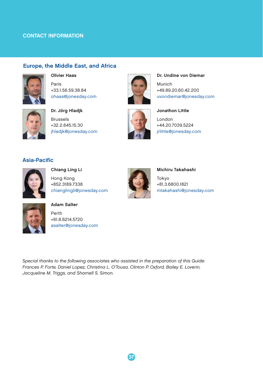#### CONTACT INFORMATION

#### Europe, the Middle East, and Africa



Olivier Haas Paris +33.1.56.59.38.84 [ohaas@jonesday.com](mailto:ohaas%40jonesday.com?subject=)



Dr. Jörg Hladjk Brussels +32.2.645.15.30 [jhladjk@jonesday.com](mailto:jhladjk@jonesday.com)



Dr. Undine von Diemar Munich +49.89.20.60.42.200 [uvondiemar@jonesday.com](mailto:uvondiemar@jonesday.com)



Jonathon Little London +44.20.7039.5224 [jrlittle@jonesday.com](mailto:jrlittle@jonesday.com)

#### Asia-Pacific



Chiang Ling Li Hong Kong +852.3189.7338 [chianglingli@jonesday.com](mailto:chianglingli@jonesday.com)



Michiru Takahashi Tokyo +81.3.6800.1821 [mtakahashi@jonesday.com](mailto:mtakahashi@jonesday.com)



#### Adam Salter

Perth +61.8.6214.5720 [asalter@jonesday.com](mailto:asalter@jonesday.com)

*Special thanks to the following associates who assisted in the preparation of this Guide: Frances P. Forte, Daniel Lopez, Christina L. O'Tousa, Clinton P. Oxford, Bailey E. Loverin, Jacqueline M. Triggs, and Sharnell S. Simon.*

37